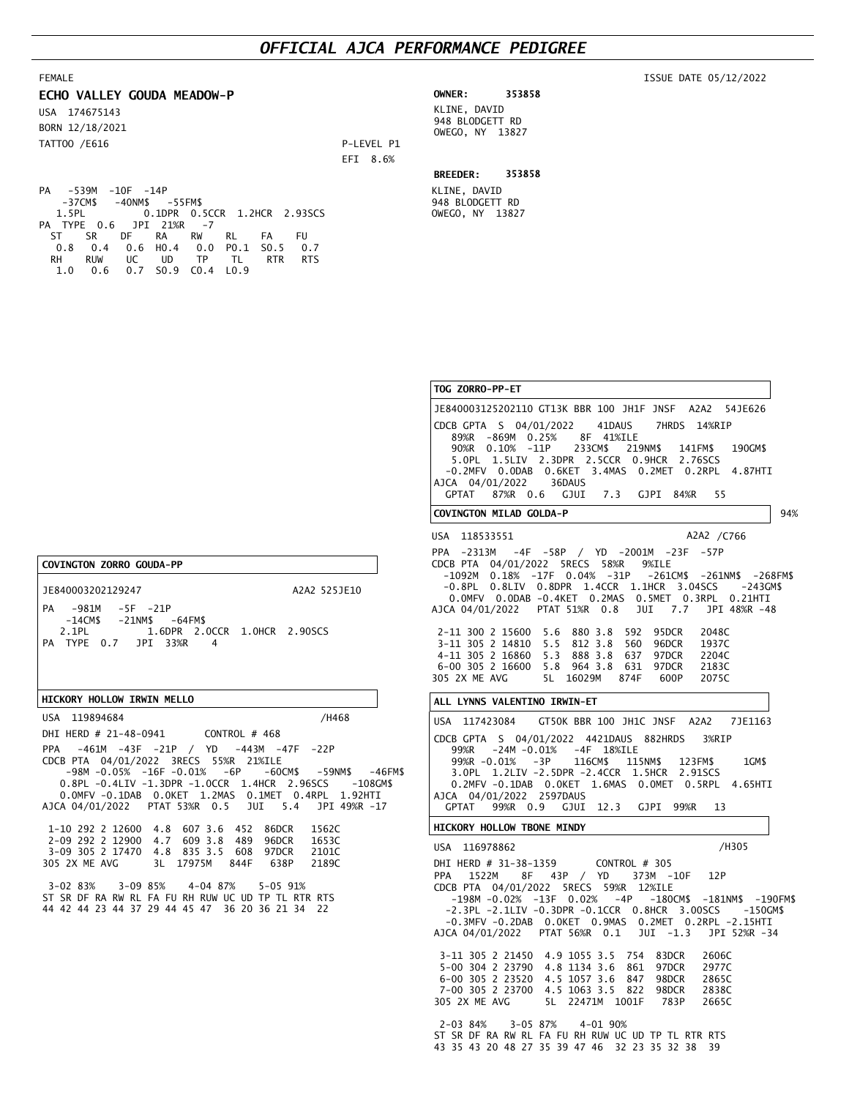## *OFFICIAL AJCA PERFORMANCE PEDIGREE*

KLINE, DAVID 948 BLODGETT RD OWEGO, NY 13827

#### ISSUE DATE 05/12/2022

| ECHO VALLEY GOUDA MEADOW-P       |            | <b>OWNER:</b>                   | 353858 |
|----------------------------------|------------|---------------------------------|--------|
| USA 174675143<br>BORN 12/18/2021 |            | KLINE, DAVID<br>948 BLODGETT RD |        |
| TATT00 /E616                     | P-LEVEL P1 | OWEGO, NY 13827                 |        |
|                                  | EFI 8.6%   | <b>BREEDER:</b>                 | 353858 |

PA -539M -10F -14P -37CM\$ -40NM\$ -55FM\$ 0.1DPR 0.5CCR 1.2HCR 2.93SCS  $1.5PL$ <br>
PA TYPE 0.6 JPI 21%R -7<br>
PA TYPE 0.6 JPI 21%R -7 ST SR DF RA RW RL FA FU 0.8 0.4 0.6 H0.4 0.0 P0.1 S0.5 0.7 RH RUW UC UD TP TL RTR RTS 1.0 0.6 0.7 S0.9 C0.4 L0.9

PPA -461M -43F -21P / YD -443M -47F -22P

 1-10 292 2 12600 4.8 607 3.6 452 86DCR 1562C 2-09 292 2 12900 4.7 609 3.8 489 96DCR 1653C 3-09 305 2 17470 4.8 835 3.5 608 97DCR 2101C 305 2X ME AVG 3L 17975M 844F 638P 2189C 3-02 83% 3-09 85% 4-04 87% 5-05 91% ST SR DF RA RW RL FA FU RH RUW UC UD TP TL RTR RTS 44 42 44 23 44 37 29 44 45 47 36 20 36 21 34 22

 -98M -0.05% -16F -0.01% -6P -60CM\$ -59NM\$ -46FM\$ 0.8PL -0.4LIV -1.3DPR -1.0CCR 1.4HCR 2.96SCS -108GM\$ 0.0MFV -0.1DAB 0.0KET 1.2MAS 0.1MET 0.4RPL 1.92HTI AJCA 04/01/2022 PTAT 53%R 0.5 JUI 5.4 JPI 49%R -17

1.6DPR 2.0CCR 1.0HCR 2.90SCS

A2A2 525JE10

CDCB PTA 04/01/2022 3RECS 55%R 21%ILE

DHI HERD # 21-48-0941 CONTROL # 468

PA -981M -5F -21P

JE840003202129247

USA 119894684

**COVINGTON ZORRO GOUDA-PP**

FEMALE

-14CM\$ -21NM\$ -64FM\$<br>2.1PL 1.6DPR 2.0

PA TYPE 0.7 JPI 33%R 4

**HICKORY HOLLOW IRWIN MELLO**

#### PPA 1522M 8F 43P / YD 373M -10F 12P CDCB PTA 04/01/2022 5RECS 59%R 12%ILE -198M -0.02% -13F 0.02% -4P -180CM\$ -181NM\$ -190FM\$ -2.3PL -2.1LIV -0.3DPR -0.1CCR 0.8HCR 3.00SCS -150GM\$ -0.3MFV -0.2DAB 0.0KET 0.9MAS 0.2MET 0.2RPL -2.15HTI AJCA 04/01/2022 PTAT 56%R 0.1 JUI -1.3 JPI 52%R -34 3-11 305 2 21450 4.9 1055 3.5 754 83DCR 2606C 5-00 304 2 23790 4.8 1134 3.6 861 6-00 305 2 23520 4.5 1057 3.6 847 98DCR 2865C 7-00 305 2 23700 4.5 1063 3.5 822 98DCR 2838C 305 2X ME AVG 5L 22471M 1001F 783P 2665C 2-03 84% 3-05 87% 4-01 90% PPA -2313M -4F -58P / YD -2001M -23F -57P CDCB PTA 04/01/2022 5RECS 58%R 9%ILE -1092M 0.18% -17F 0.04% -31P -261CM\$ -261NM\$ -268FM\$ -0.8PL 0.8LIV 0.8DPR 1.4CCR 1.1HCR 3.04SCS -243GM\$ 0.0MFV 0.0DAB -0.4KET 0.2MAS 0.5MET 0.3RPL 0.21HTI AJCA 04/01/2022 PTAT 51%R 0.8 JUI 7.7 JPI 48%R -48 2-11 300 2 15600 5.6 880 3.8 592 95DCR 2048C 3-11 305 2 14810 5.5 812 3.8 560 96DCR 1937C 5.3 888 3.8 637 97DCR 2204C 6-00 305 2 16600 5.8 964 3.8 631 97DCR 2183C 305 2X ME AVG 5L 16029M 874F 600P 2075C **TOG ZORRO-PP-ET** JE840003125202110 GT13K BBR 100 JH1F JNSF A2A2 54JE626 **COVINGTON MILAD GOLDA-P** USA 118533551 **ALL LYNNS VALENTINO IRWIN-ET** USA 117423084 **HICKORY HOLLOW TBONE MINDY** USA 116978862 94% CDCB GPTA S 04/01/2022 41DAUS 7HRDS 14%RIP 89%R -869M 0.25% 8F 41%ILE 90%R 0.10% -11P 233CM\$ 219NM\$ 141FM\$ 190GM\$ 5.0PL 1.5LIV 2.3DPR 2.5CCR 0.9HCR 2.76SCS -0.2MFV 0.0DAB 0.6KET 3.4MAS 0.2MET 0.2RPL 4.87HTI AJCA 04/01/2022 GPTAT 87%R 0.6 GJUI 7.3 GJPI 84%R 55 CDCB GPTA S 04/01/2022 4421DAUS 882HRDS 3%RIP 99%R -24M -0.01% -4F 18%ILE 99%R -0.01% -3P 116CM\$ 115NM\$ 123FM\$ 1GM\$ 3.0PL 1.2LIV -2.5DPR -2.4CCR 1.5HCR 2.91SCS 0.2MFV -0.1DAB 0.0KET 1.6MAS 0.0MET 0.5RPL 4.65HTI AJCA 04/01/2022 2597DAUS GPTAT 99%R 0.9 GJUI 12.3 GJPI 99%R 13 GT50K BBR 100 /H468 JH1C JNSF A2A2 7JE1163 DHI HERD # 31-38-1359 CONTROL # 305 A2A2 /C766 /H305

ST SR DF RA RW RL FA FU RH RUW UC UD TP TL RTR RTS 43 35 43 20 48 27 35 39 47 46 32 23 35 32 38 39